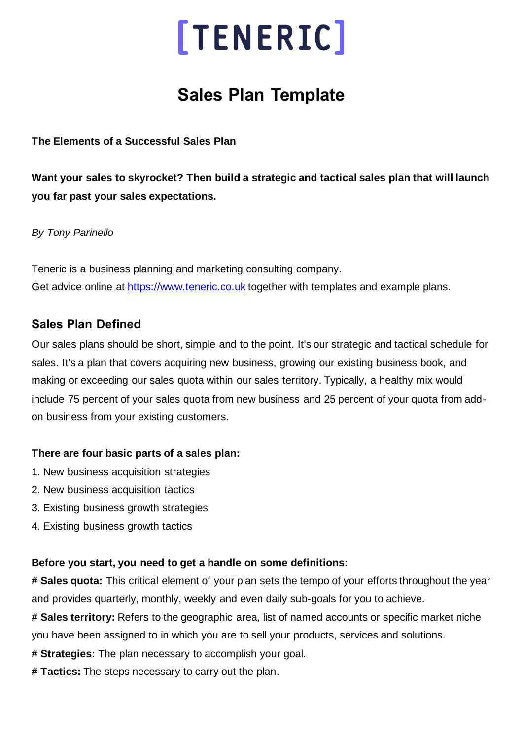## **Sales Plan Template**

**The Elements of a Successful Sales Plan**

**Want your sales to skyrocket? Then build a strategic and tactical sales plan that will launch you far past your sales expectations.**

*By Tony Parinello*

Teneric is a business planning and marketing consulting company. Get advice online at [https://www.teneric.co.uk](https://www.teneric.co.uk/) together with templates and example plans.

## **Sales Plan Defined**

Our sales plans should be short, simple and to the point. It's our strategic and tactical schedule for sales. It's a plan that covers acquiring new business, growing our existing business book, and making or exceeding our sales quota within our sales territory. Typically, a healthy mix would include 75 percent of your sales quota from new business and 25 percent of your quota from addon business from your existing customers.

## **There are four basic parts of a sales plan:**

- 1. New business acquisition strategies
- 2. New business acquisition tactics
- 3. Existing business growth strategies
- 4. Existing business growth tactics

## **Before you start, you need to get a handle on some definitions:**

**# Sales quota:** This critical element of your plan sets the tempo of your efforts throughout the year and provides quarterly, monthly, weekly and even daily sub-goals for you to achieve.

**# Sales territory:** Refers to the geographic area, list of named accounts or specific market niche you have been assigned to in which you are to sell your products, services and solutions.

- **# Strategies:** The plan necessary to accomplish your goal.
- **# Tactics:** The steps necessary to carry out the plan.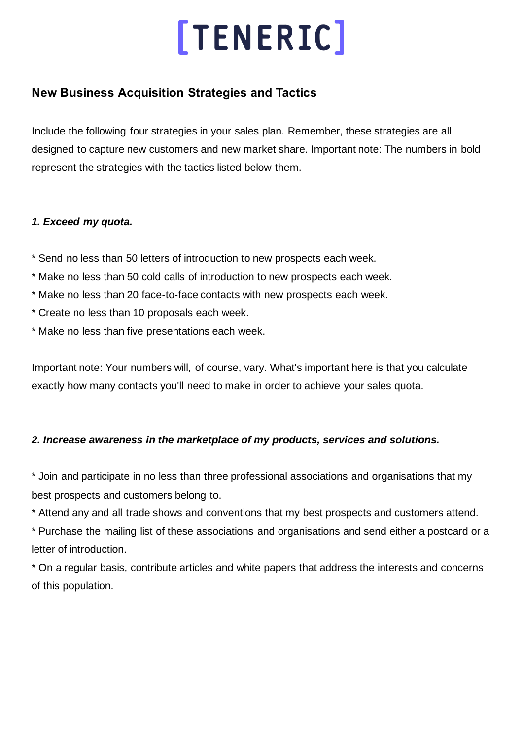## **New Business Acquisition Strategies and Tactics**

Include the following four strategies in your sales plan. Remember, these strategies are all designed to capture new customers and new market share. Important note: The numbers in bold represent the strategies with the tactics listed below them.

### *1. Exceed my quota.*

- \* Send no less than 50 letters of introduction to new prospects each week.
- \* Make no less than 50 cold calls of introduction to new prospects each week.
- \* Make no less than 20 face-to-face contacts with new prospects each week.
- \* Create no less than 10 proposals each week.
- \* Make no less than five presentations each week.

Important note: Your numbers will, of course, vary. What's important here is that you calculate exactly how many contacts you'll need to make in order to achieve your sales quota.

## *2. Increase awareness in the marketplace of my products, services and solutions.*

\* Join and participate in no less than three professional associations and organisations that my best prospects and customers belong to.

\* Attend any and all trade shows and conventions that my best prospects and customers attend.

\* Purchase the mailing list of these associations and organisations and send either a postcard or a letter of introduction.

\* On a regular basis, contribute articles and white papers that address the interests and concerns of this population.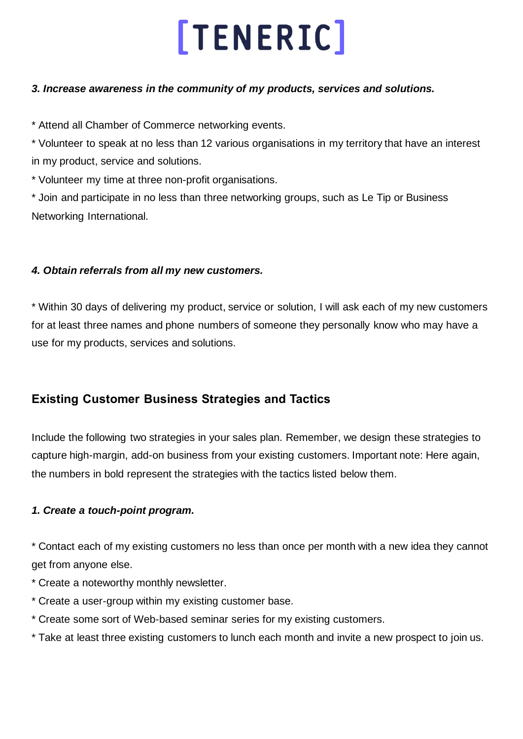### *3. Increase awareness in the community of my products, services and solutions.*

\* Attend all Chamber of Commerce networking events.

\* Volunteer to speak at no less than 12 various organisations in my territory that have an interest in my product, service and solutions.

\* Volunteer my time at three non-profit organisations.

\* Join and participate in no less than three networking groups, such as Le Tip or Business Networking International.

## *4. Obtain referrals from all my new customers.*

\* Within 30 days of delivering my product, service or solution, I will ask each of my new customers for at least three names and phone numbers of someone they personally know who may have a use for my products, services and solutions.

## **Existing Customer Business Strategies and Tactics**

Include the following two strategies in your sales plan. Remember, we design these strategies to capture high-margin, add-on business from your existing customers. Important note: Here again, the numbers in bold represent the strategies with the tactics listed below them.

## *1. Create a touch-point program.*

\* Contact each of my existing customers no less than once per month with a new idea they cannot get from anyone else.

- \* Create a noteworthy monthly newsletter.
- \* Create a user-group within my existing customer base.
- \* Create some sort of Web-based seminar series for my existing customers.
- \* Take at least three existing customers to lunch each month and invite a new prospect to join us.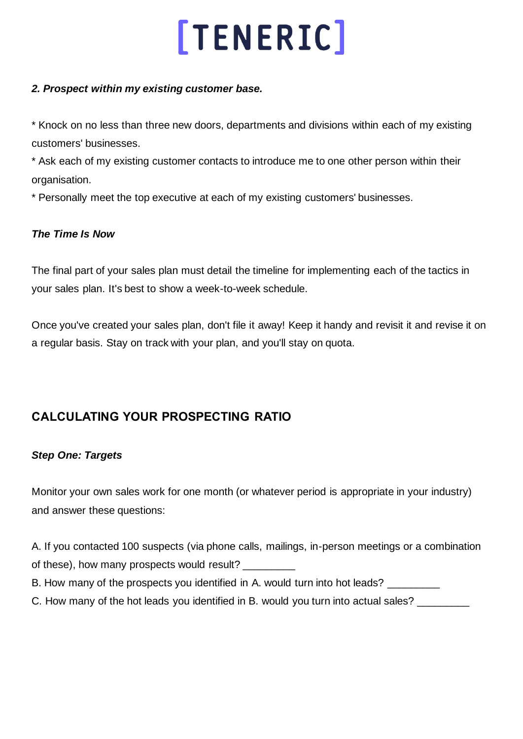### *2. Prospect within my existing customer base.*

\* Knock on no less than three new doors, departments and divisions within each of my existing customers' businesses.

\* Ask each of my existing customer contacts to introduce me to one other person within their organisation.

\* Personally meet the top executive at each of my existing customers' businesses.

### *The Time Is Now*

The final part of your sales plan must detail the timeline for implementing each of the tactics in your sales plan. It's best to show a week-to-week schedule.

Once you've created your sales plan, don't file it away! Keep it handy and revisit it and revise it on a regular basis. Stay on track with your plan, and you'll stay on quota.

## **CALCULATING YOUR PROSPECTING RATIO**

### *Step One: Targets*

Monitor your own sales work for one month (or whatever period is appropriate in your industry) and answer these questions:

A. If you contacted 100 suspects (via phone calls, mailings, in-person meetings or a combination of these), how many prospects would result?

B. How many of the prospects you identified in A. would turn into hot leads?

C. How many of the hot leads you identified in B. would you turn into actual sales?